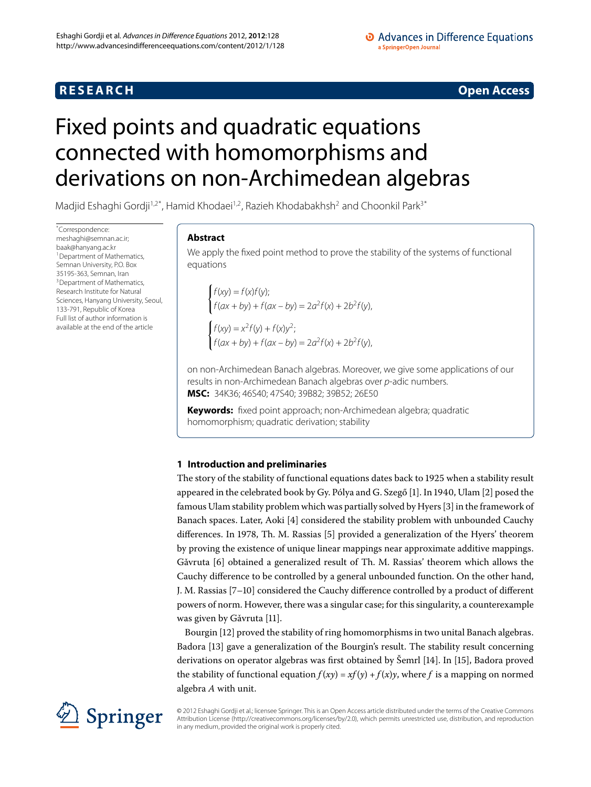# **R E S E A R C H Open Access**

### • Advances in Difference Equations a SpringerOpen Journal

# <span id="page-0-1"></span><span id="page-0-0"></span>Fixed points and quadratic equations connected with homomorphisms and derivations on non-Archimedean algebras

Madjid Eshaghi Gordji<sup>1,[2](#page-7-1)[\\*](#page-0-1)</sup>, Hamid Khodaei<sup>[1](#page-7-0)[,2](#page-7-1)</sup>, Razieh Khodabakhsh<sup>2</sup> and Choonkil Park<sup>[3](#page-7-2)\*</sup>

\* Correspondence: [meshaghi@semnan.ac.ir;](mailto:meshaghi@semnan.ac.ir) [baak@hanyang.ac.kr](mailto:baak@hanyang.ac.kr) <sup>1</sup> Department of Mathematics, Semnan University, P.O. Box [3](#page-7-2)5195-363, Semnan, Iran <sup>3</sup> Department of Mathematics, Research Institute for Natural Sciences, Hanyang University, Seoul, 133-791, Republic of Korea Full list of author information is available at the end of the article

## **Abstract**

We apply the fixed point method to prove the stability of the systems of functional equations

 $f(xy) = f(x)f(y);$  $f(ax + by) + f(ax - by) = 2a^2f(x) + 2b^2f(y),$  $f(xy) = x^2 f(y) + f(x)y^2;$  $f(ax + by) + f(ax - by) = 2a^2f(x) + 2b^2f(y),$ 

on non-Archimedean Banach algebras. Moreover, we give some applications of our results in non-Archimedean Banach algebras over p-adic numbers. **MSC:** 34K36; 46S40; 47S40; 39B82; 39B52; 26E50

**Keywords:** fixed point approach; non-Archimedean algebra; quadratic homomorphism; quadratic derivation; stability

## **1 Introduction and preliminaries**

The story of the stability of functional equations dates back to 1925 when a stability result appeared in the celebrated book by Gy. Pólya and G. Szegő [1[\]](#page-8-1). In 1940, Ulam [2] posed the famous Ulam stability problem which was partially solved by Hyers [3[\]](#page-8-2) in the framework of Banach spaces. Later, Aoki [4[\]](#page-8-3) considered the stability problem with unbounded Cauchy differences. In 1978, Th. M. Rassias [5[\]](#page-8-4) provided a generalization of the Hyers' theorem by proving the existence of unique linear mappings near approximate additive mappings. Gǎvruta [6] obtained a generalized result of Th. M. Rassias' theorem which allows the Cauchy difference to be controlled by a general unbounded function. On the other hand, J. M. Rassias [7-10[\]](#page-8-7) considered the Cauchy difference controlled by a product of different powers of norm. However, there was a singular case; for this singularity, a counterexample was given by Gǎvruta [11[\]](#page-8-8).

Bourgin [\[\]](#page-8-9) proved the stability of ring homomorphisms in two unital Banach algebras. Badora [\[](#page-8-10)13] gave a generalization of the Bourgin's result. The stability result concerning derivations on operator algebras was first obtained by Šemrl [14[\]](#page-8-11). In [\[](#page-8-12)15], Badora proved the stability of functional equation  $f(xy) = xf(y) + f(x)y$ , where *f* is a mapping on normed algebra *A* with unit.



© 2012 Eshaghi Gordji et al.; licensee Springer. This is an Open Access article distributed under the terms of the Creative Commons Attribution License [\(http://creativecommons.org/licenses/by/2.0](http://creativecommons.org/licenses/by/2.0)), which permits unrestricted use, distribution, and reproduction in any medium, provided the original work is properly cited.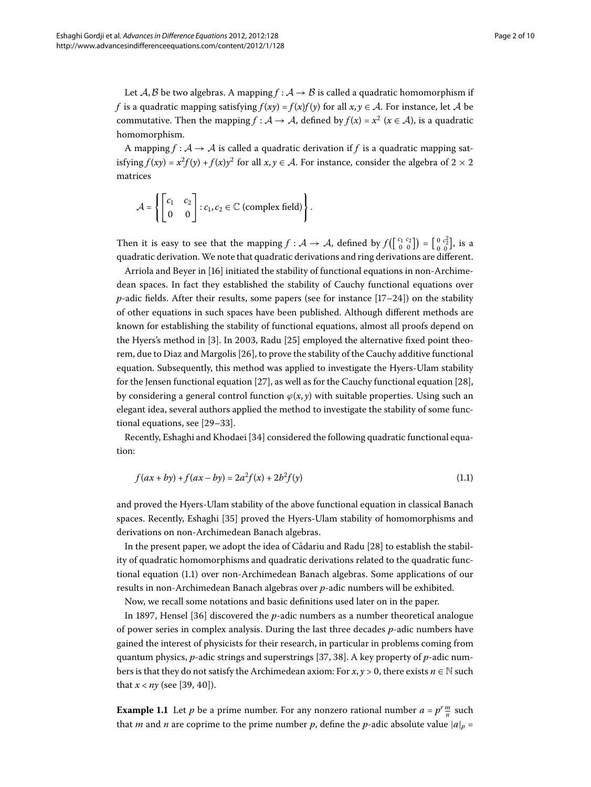Let  $A, B$  be two algebras. A mapping  $f : A \rightarrow B$  is called a quadratic homomorphism if *f* is a quadratic mapping satisfying  $f(xy) = f(x)f(y)$  for all  $x, y \in A$ . For instance, let A be commutative. Then the mapping  $f : A \to A$ , defined by  $f(x) = x^2$  ( $x \in A$ ), is a quadratic homomorphism.

A mapping  $f : A \rightarrow A$  is called a quadratic derivation if f is a quadratic mapping satisfying  $f(xy) = x^2 f(y) + f(x) y^2$  for all  $x, y \in A$ . For instance, consider the algebra of  $2 \times 2$ matrices

$$
\mathcal{A} = \left\{ \begin{bmatrix} c_1 & c_2 \\ 0 & 0 \end{bmatrix} : c_1, c_2 \in \mathbb{C} \text{ (complex field)} \right\}.
$$

Then it is easy to see that the mapping  $f : A \to A$ , defined by  $f(\begin{bmatrix} c_1 & c_2 \ 0 & 0 \end{bmatrix}) = \begin{bmatrix} 0 & c_2^2 \ 0 & 0 \end{bmatrix}$ , is a quadratic derivation. We note that quadratic derivations and ring derivations are different.

Arriola and Beyer in [16] initiated the stability of functional equations in non-Archimedean spaces. In fact they established the stability of Cauchy functional equations over *p*-adic fields. After their results, some papers (see for instance  $[17-24]$ ) on the stability of other equations in such spaces have been published. Although different methods are known for establishing the stability of functional equations, almost all proofs depend on the Hyers's method in [3[\]](#page-8-2). In 2003, Radu [25] employed the alternative fixed point theorem, due to Diaz and Margolis [26], to prove the stability of the Cauchy additive functional equation. Subsequently, this method was applied to investigate the Hyers-Ulam stability for the Jensen functional equation  $[27]$  $[27]$ , as well as for the Cauchy functional equation  $[28]$ , by considering a general control function  $\varphi(x, y)$  with suitable properties. Using such an elegant idea, several authors applied the method to investigate the stability of some functional equations, see  $[29-33]$  $[29-33]$ .

Recently, Eshaghi and Khodaei [34] considered the following quadratic functional equation:

<span id="page-1-0"></span>
$$
f(ax + by) + f(ax - by) = 2a^2 f(x) + 2b^2 f(y)
$$
\n(1.1)

and proved the Hyers-Ulam stability of the above functional equation in classical Banach spaces. Recently, Eshaghi [35[\]](#page-8-23) proved the Hyers-Ulam stability of homomorphisms and derivations on non-Archimedean Banach algebras.

In the present paper, we adopt the idea of Cǎdariu and Radu [28] to establish the stability of quadratic homomorphisms and quadratic derivations related to the quadratic functional equation (1.1) over non-Archimedean Banach algebras. Some applications of our results in non-Archimedean Banach algebras over *p*-adic numbers will be exhibited.

Now, we recall some notations and basic definitions used later on in the paper.

In 1897, Hensel  $[36]$  discovered the *p*-adic numbers as a number theoretical analogue of power series in complex analysis. During the last three decades *p*-adic numbers have gained the interest of physicists for their research, in particular in problems coming from quantum physics[,](#page-8-25) *p*-adic strings and superstrings [37, 38]. A key property of *p*-adic numbers is that they do not satisfy the Archimedean axiom: For  $x, y > 0$ , there exists  $n \in \mathbb{N}$  such that  $x < ny$  (see [39[,](#page-8-27) 40]).

**Example 1.1** Let *p* be a prime number. For any nonzero rational number  $a = p^r \frac{m}{n}$  such that *m* and *n* are coprime to the prime number *p*, define the *p*-adic absolute value  $|a|_p =$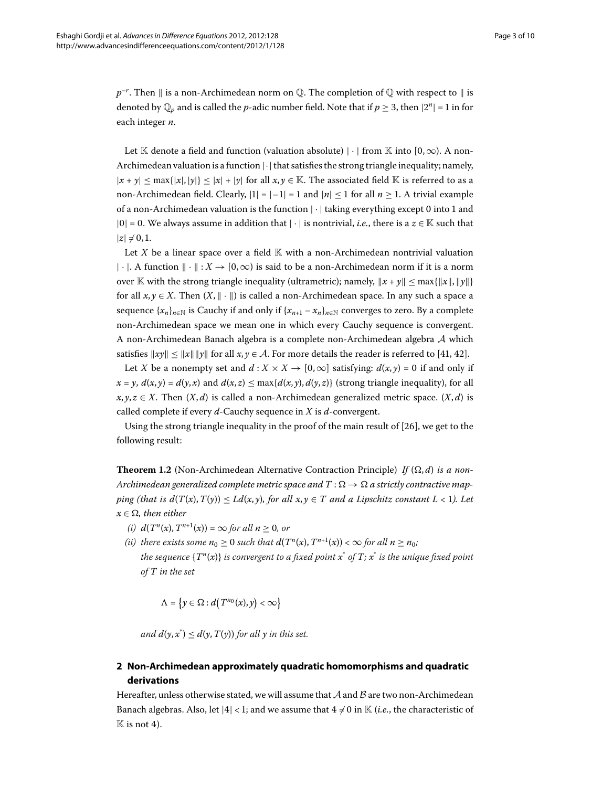$p^{-r}.$  Then  $\parallel$  is a non-Archimedean norm on  $\mathbb Q.$  The completion of  $\mathbb Q$  with respect to  $\parallel$  is denoted by  $\mathbb{Q}_p$  and is called the *p*-adic number field. Note that if  $p \geq 3$ , then  $|2^n| = 1$  in for each integer *n*.

Let K denote a field and function (valuation absolute) |  $\cdot$  | from K into [0,  $\infty$ ). A non-Archimedean valuation is a function  $|\cdot|$  that satisfies the strong triangle inequality; namely,  $|x + y| < \max\{|x|, |y|\} < |x| + |y|$  for all  $x, y \in \mathbb{K}$ . The associated field K is referred to as a non-Archimedean field. Clearly,  $|1| = |-1| = 1$  and  $|n| \le 1$  for all  $n \ge 1$ . A trivial example of a non-Archimedean valuation is the function  $|\cdot|$  taking everything except 0 into 1 and  $|0| = 0$ . We always assume in addition that  $|\cdot|$  is nontrivial, *i.e.*, there is a  $z \in \mathbb{K}$  such that  $|z| \neq 0, 1$ .

Let *X* be a linear space over a field  $\mathbb{K}$  with a non-Archimedean nontrivial valuation |·|. A function  $\|\cdot\|$ :  $X \to [0,\infty)$  is said to be a non-Archimedean norm if it is a norm over K with the strong triangle inequality (ultrametric); namely,  $||x + y|| \leq \max\{||x||, ||y||\}$ for all  $x, y \in X$ . Then  $(X, \|\cdot\|)$  is called a non-Archimedean space. In any such a space a sequence  $\{x_n\}_{n\in\mathbb{N}}$  is Cauchy if and only if  $\{x_{n+1} - x_n\}_{n\in\mathbb{N}}$  converges to zero. By a complete non-Archimedean space we mean one in which every Cauchy sequence is convergent. A non-Archimedean Banach algebra is a complete non-Archimedean algebra A which satisfies  $||xy|| \le ||x|| ||y||$  for all  $x, y \in A$ . For more details the reader is referred to [41, 42].

Let *X* be a nonempty set and  $d: X \times X \rightarrow [0, \infty]$  satisfying:  $d(x, y) = 0$  if and only if  $x = y$ ,  $d(x, y) = d(y, x)$  and  $d(x, z) \le \max\{d(x, y), d(y, z)\}\$  (strong triangle inequality), for all  $x, y, z \in X$ . Then  $(X, d)$  is called a non-Archimedean generalized metric space.  $(X, d)$  is called complete if every *d*-Cauchy sequence in *X* is *d*-convergent.

Using the strong triangle inequality in the proof of the main result of [26], we get to the following result:

**Theorem 1.2** (Non-Archimedean Alternative Contraction Principle) If  $(\Omega, d)$  is a non-*Archimedean generalized complete metric space and*  $T : \Omega \to \Omega$  *a strictly contractive mapping (that is*  $d(T(x), T(y)) \le Ld(x, y)$ *, for all*  $x, y \in T$  *and a Lipschitz constant L < 1). Let*  $x \in \Omega$ , then either

- *(i)*  $d(T^n(x), T^{n+1}(x)) = \infty$  *for all*  $n > 0$ *, or*
- *(ii)* there exists some  $n_0 \ge 0$  such that  $d(T^n(x), T^{n+1}(x)) < \infty$  for all  $n \ge n_0$ ; *the sequence* {*T<sup>n</sup>*(*x*)} *is convergent to a fixed point x*\* *of T; x*\* *is the unique fixed point of T in the set*

$$
\Lambda = \left\{ y \in \Omega : d\big(T^{n_0}(x), y\big) < \infty \right\}
$$

*and*  $d(y, x^*) \le d(y, T(y))$  for all y in this set.

# **2 Non-Archimedean approximately quadratic homomorphisms and quadratic derivations**

Hereafter, unless otherwise stated, we will assume that  $A$  and  $B$  are two non-Archimedean Banach algebras. Also, let  $|4| < 1$ ; and we assume that  $4 \neq 0$  in K (*i.e.*, the characteristic of  $\mathbb K$  is not 4).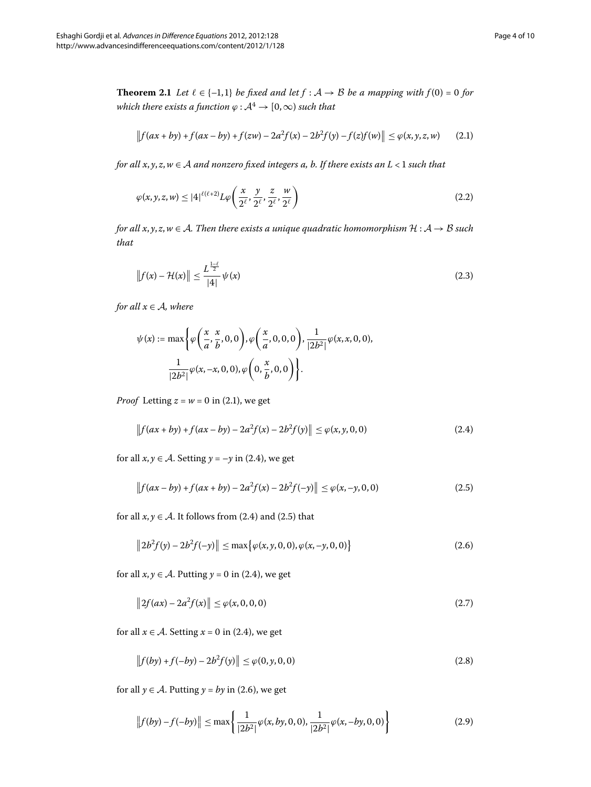<span id="page-3-9"></span>**Theorem 2.1** *Let*  $l \in \{-1,1\}$  *be fixed and let*  $f : A \rightarrow B$  *be a mapping with*  $f(0) = 0$  *for which there exists a function*  $\varphi : A^4 \to [0, \infty)$  *such that* 

<span id="page-3-7"></span><span id="page-3-0"></span>
$$
\|f(ax+by)+f(ax-by)+f(zw)-2a^2f(x)-2b^2f(y)-f(z)f(w)\| \leq \varphi(x,y,z,w) \qquad (2.1)
$$

*for all x*, *y*, *z*,*w* ∈ A *and nonzero fixed integers a, b. If there exists an L* < *such that*

<span id="page-3-8"></span>
$$
\varphi(x, y, z, w) \le |4|^{\ell(\ell+2)} L \varphi\left(\frac{x}{2^{\ell}}, \frac{y}{2^{\ell}}, \frac{z}{2^{\ell}}, \frac{w}{2^{\ell}}\right) \tag{2.2}
$$

*for all x, y, z, w*  $\in$  *A. Then there exists a unique quadratic homomorphism*  $H: A \rightarrow B$  *such that*

$$
\|f(x) - \mathcal{H}(x)\| \le \frac{L^{\frac{1-\ell}{2}}}{|4|} \psi(x)
$$
 (2.3)

*for all*  $x \in A$ *, where* 

<span id="page-3-1"></span>
$$
\psi(x) := \max \left\{ \varphi\left(\frac{x}{a}, \frac{x}{b}, 0, 0\right), \varphi\left(\frac{x}{a}, 0, 0, 0\right), \frac{1}{|2b^2|} \varphi(x, x, 0, 0), \frac{1}{|2b^2|} \varphi(x, -x, 0, 0), \varphi\left(0, \frac{x}{b}, 0, 0\right) \right\}.
$$

*Proof* Letting  $z = w = 0$  in (2.1), we get

<span id="page-3-3"></span><span id="page-3-2"></span>
$$
\|f(ax+by)+f(ax-by)-2a^2f(x)-2b^2f(y)\| \le \varphi(x,y,0,0) \tag{2.4}
$$

for all  $x, y \in A$ . Setting  $y = -y$  in (2.4), we get

$$
||f(ax - by) + f(ax + by) - 2a^2 f(x) - 2b^2 f(-y)|| \le \varphi(x, -y, 0, 0)
$$
\n(2.5)

for all  $x, y \in A$ . It follows from (2.4) and (2.5) that

<span id="page-3-6"></span><span id="page-3-4"></span>
$$
||2b^2 f(y) - 2b^2 f(-y)|| \le \max\{\varphi(x, y, 0, 0), \varphi(x, -y, 0, 0)\}\
$$
 (2.6)

for all  $x, y \in A$ [.](#page-3-1) Putting  $y = 0$  in (2.4), we get

$$
||2f(ax) - 2a^2 f(x)|| \le \varphi(x, 0, 0, 0)
$$
\n(2.7)

for all  $x \in A$ . Setting  $x = 0$  in (2.4), we get

<span id="page-3-5"></span>
$$
\|f(by) + f(-by) - 2b^2 f(y)\| \le \varphi(0, y, 0, 0)
$$
\n(2.8)

for all  $\gamma \in \mathcal{A}$ [.](#page-3-3) Putting  $\gamma = by$  in (2.6), we get

$$
||f(by) - f(-by)|| \le \max\left\{\frac{1}{|2b^2|}\varphi(x, by, 0, 0), \frac{1}{|2b^2|}\varphi(x, -by, 0, 0)\right\}
$$
 (2.9)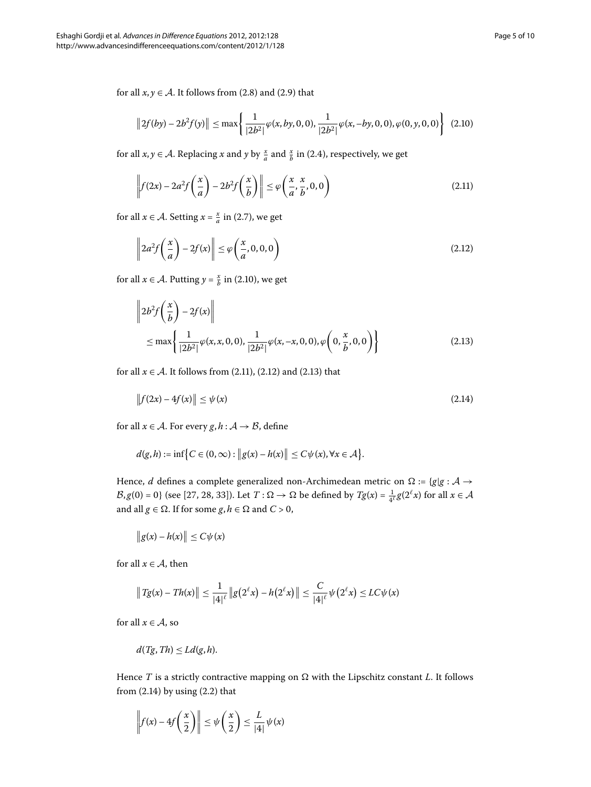for all  $x, y \in A$ [.](#page-3-5) It follows from (2.8) and (2.9) that

<span id="page-4-1"></span><span id="page-4-0"></span>
$$
||2f(by) - 2b^2 f(y)|| \le \max\left\{\frac{1}{|2b^2|}\varphi(x, by, 0, 0), \frac{1}{|2b^2|}\varphi(x, -by, 0, 0), \varphi(0, y, 0, 0)\right\}
$$
(2.10)

for all  $x, y \in A$ [.](#page-3-1) Replacing  $x$  and  $y$  by  $\frac{x}{a}$  and  $\frac{x}{b}$  in (2.4), respectively, we get

<span id="page-4-2"></span>
$$
\left\| f(2x) - 2a^2 f\left(\frac{x}{a}\right) - 2b^2 f\left(\frac{x}{b}\right) \right\| \le \varphi\left(\frac{x}{a}, \frac{x}{b}, 0, 0\right) \tag{2.11}
$$

<span id="page-4-3"></span>for all  $x \in A$ . Setting  $x = \frac{x}{a}$  in (2.7), we get

$$
\left\|2a^2f\left(\frac{x}{a}\right) - 2f(x)\right\| \le \varphi\left(\frac{x}{a}, 0, 0, 0\right) \tag{2.12}
$$

for all  $x \in A$ . Putting  $y = \frac{x}{b}$  in (2.10), we get

<span id="page-4-4"></span>
$$
\left\|2b^2f\left(\frac{x}{b}\right)-2f(x)\right\|
$$
  
\n
$$
\leq \max\left\{\frac{1}{|2b^2|}\varphi(x,x,0,0),\frac{1}{|2b^2|}\varphi(x,-x,0,0),\varphi\left(0,\frac{x}{b},0,0\right)\right\}
$$
\n(2.13)

for all  $x \in A$ [.](#page-4-2) It follows from (2.11), (2.12) and (2.13) that

$$
\|f(2x) - 4f(x)\| \le \psi(x) \tag{2.14}
$$

for all  $x \in A$ . For every  $g, h: A \rightarrow B$ , define

$$
d(g,h) := \inf \bigl\{ C \in (0,\infty) : \bigl\| g(x) - h(x) \bigr\| \le C \psi(x), \forall x \in \mathcal{A} \bigr\}.
$$

Hence, *d* defines a complete generalized non-Archimedean metric on  $\Omega$  := {*g*|*g* : *A*  $\rightarrow$  $\mathcal{B}, g(0) = 0$ } (see [\[](#page-8-18)27, 28, 33[\]](#page-8-21)). Let  $T : \Omega \to \Omega$  be defined by  $Tg(x) = \frac{1}{4^{\ell}}g(2^{\ell}x)$  for all  $x \in \mathcal{A}$ and all *g*  $\in \Omega$ . If for some *g*, *h*  $\in \Omega$  and *C* > 0,

$$
\|g(x)-h(x)\|\leq C\psi(x)
$$

for all  $x \in A$ , then

$$
||Tg(x) - Th(x)|| \le \frac{1}{|4|^{\ell}} ||g(2^{\ell}x) - h(2^{\ell}x)|| \le \frac{C}{|4|^{\ell}} \psi(2^{\ell}x) \le LC\psi(x)
$$

for all  $x \in A$ , so

$$
d(Tg, Th) \leq Ld(g, h).
$$

Hence  $T$  is a strictly contractive mapping on  $\Omega$  with the Lipschitz constant  $L$ . It follows from  $(2.14)$  by using  $(2.2)$  that

$$
\left\|f(x) - 4f\left(\frac{x}{2}\right)\right\| \le \psi\left(\frac{x}{2}\right) \le \frac{L}{|4|} \psi(x)
$$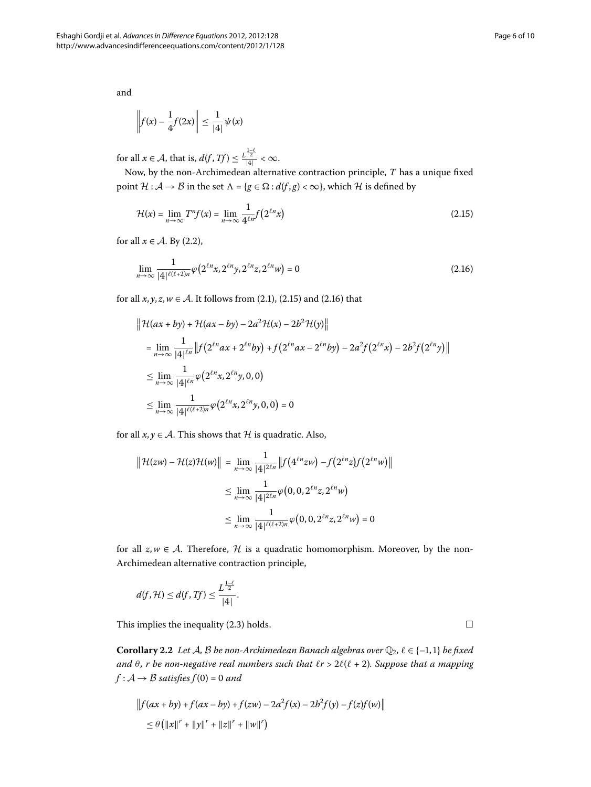and

<span id="page-5-0"></span>
$$
\left\|f(x) - \frac{1}{4}f(2x)\right\| \le \frac{1}{|4|}\psi(x)
$$

for all  $x \in \mathcal{A}$ , that is,  $d(f, Tf) \leq \frac{L^{\frac{1-\ell}{2}}}{|4|} < \infty$ .

Now, by the non-Archimedean alternative contraction principle, *T* has a unique fixed point  $H : A \rightarrow B$  in the set  $\Lambda = \{g \in \Omega : d(f, g) < \infty\}$ , which H is defined by

<span id="page-5-1"></span>
$$
\mathcal{H}(x) = \lim_{n \to \infty} T^n f(x) = \lim_{n \to \infty} \frac{1}{4^{\ell n}} f(2^{\ell n} x)
$$
\n(2.15)

for all  $x \in A$ [.](#page-3-7) By (2.2),

$$
\lim_{n \to \infty} \frac{1}{|4|^{\ell(\ell+2)n}} \varphi\left(2^{\ell n} x, 2^{\ell n} y, 2^{\ell n} z, 2^{\ell n} w\right) = 0
$$
\n(2.16)

for all  $x, y, z, w \in A$ [.](#page-5-1) It follows from (2.1), (2.15) and (2.16) that

$$
\|\mathcal{H}(ax + by) + \mathcal{H}(ax - by) - 2a^2 \mathcal{H}(x) - 2b^2 \mathcal{H}(y)\|
$$
  
\n
$$
= \lim_{n \to \infty} \frac{1}{|4|^{ln}} \|f(2^{\ell n}ax + 2^{\ell n}by) + f(2^{\ell n}ax - 2^{\ell n}by) - 2a^2 f(2^{\ell n}x) - 2b^2 f(2^{\ell n}y)\|
$$
  
\n
$$
\leq \lim_{n \to \infty} \frac{1}{|4|^{ln}} \varphi(2^{\ell n}x, 2^{\ell n}y, 0, 0)
$$
  
\n
$$
\leq \lim_{n \to \infty} \frac{1}{|4|^{(\ell + 2)n}} \varphi(2^{\ell n}x, 2^{\ell n}y, 0, 0) = 0
$$

for all  $x, y \in A$ . This shows that  $H$  is quadratic. Also,

$$
\| \mathcal{H}(zw) - \mathcal{H}(z)\mathcal{H}(w) \| = \lim_{n \to \infty} \frac{1}{|4|^{2\ell n}} \| f(4^{\ell n}zw) - f(2^{\ell n}z)f(2^{\ell n}w) \|
$$
  

$$
\leq \lim_{n \to \infty} \frac{1}{|4|^{2\ell n}} \varphi(0, 0, 2^{\ell n}z, 2^{\ell n}w)
$$
  

$$
\leq \lim_{n \to \infty} \frac{1}{|4|^{2(\ell+2)n}} \varphi(0, 0, 2^{\ell n}z, 2^{\ell n}w) = 0
$$

for all  $z, w \in A$ . Therefore, H is a quadratic homomorphism. Moreover, by the non-Archimedean alternative contraction principle,

$$
d(f,\mathcal{H})\leq d(f,Tf)\leq \frac{L^{\frac{1-\ell}{2}}}{|4|}.
$$

This implies the inequality  $(2.3)$  holds.

**Corollary 2.2** Let A, B be non-Archimedean Banach algebras over  $\mathbb{Q}_2$ ,  $\ell \in \{-1,1\}$  be fixed *and*  $\theta$ , *r* be non-negative real numbers such that  $\ell r > 2\ell(\ell + 2)$ . Suppose that a mapping  $f : A \rightarrow B$  *satisfies*  $f(0) = 0$  *and* 

$$
||f(ax + by) + f(ax - by) + f(zw) - 2a^2 f(x) - 2b^2 f(y) - f(z)f(w)||
$$
  
\n
$$
\leq \theta (||x||^r + ||y||^r + ||z||^r + ||w||^r)
$$

 $\Box$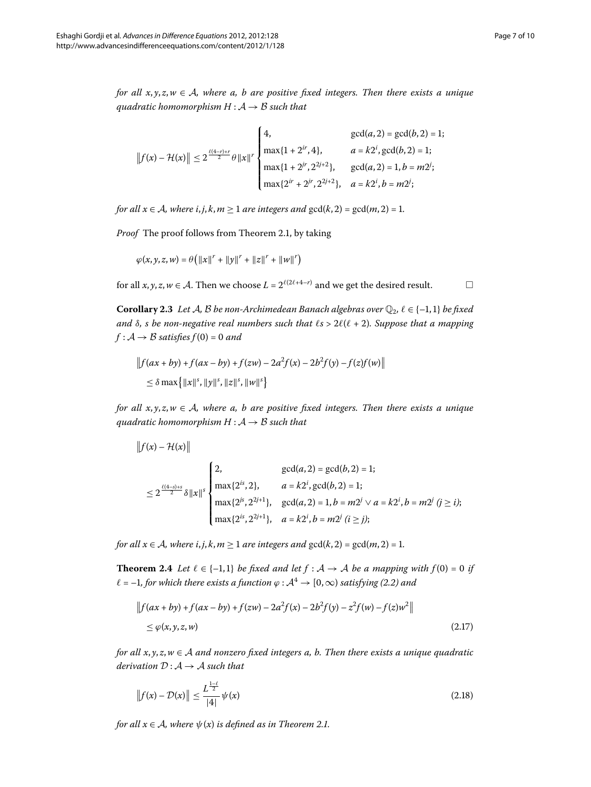*for all*  $x, y, z, w \in A$ *, where a, b are positive fixed integers. Then there exists a unique quadratic homomorphism H* : A → B *such that*

$$
||f(x) - \mathcal{H}(x)|| \le 2^{\frac{\ell(4-r)+r}{2}}\theta ||x||^r \begin{cases} 4, & \gcd(a,2) = \gcd(b,2) = 1; \\ \max\{1+2^{ir},4\}, & a = k2^i, \gcd(b,2) = 1; \\ \max\{1+2^{jr},2^{2j+2}\}, & \gcd(a,2) = 1, b = m2^i; \\ \max\{2^{ir}+2^{jr},2^{2j+2}\}, & a = k2^i, b = m2^i; \end{cases}
$$

*for all*  $x \in A$ *, where i, j, k, m*  $\geq 1$  *are integers and*  $gcd(k, 2) = gcd(m, 2) = 1$ *.* 

*Proof* The proof follows from Theorem 2.1, by taking

$$
\varphi(x, y, z, w) = \theta (||x||^{r} + ||y||^{r} + ||z||^{r} + ||w||^{r})
$$

for all *x*, *y*, *z*, *w*  $\in$  *A*. Then we choose *L* =  $2^{\ell(2\ell+4-r)}$  and we get the desired result.  $\Box$ 

**Corollary 2.3** Let A, B be non-Archimedean Banach algebras over  $\mathbb{Q}_2$ ,  $\ell \in \{-1,1\}$  be fixed *and*  $\delta$ *, s be non-negative real numbers such that*  $\ell$ *s* >  $2\ell(\ell + 2)$ *. Suppose that a mapping*  $f : A \rightarrow B$  *satisfies*  $f(0) = 0$  *and* 

$$
||f(ax + by) + f(ax - by) + f(zw) - 2a^2 f(x) - 2b^2 f(y) - f(z)f(w)||
$$
  
\$\leq \delta \max{||x||^s, ||y||^s, ||z||^s, ||w||^s}\$

*for all x*, *y*, *z*,*w* ∈ A*, where a, b are positive fixed integers. Then there exists a unique quadratic homomorphism H* :  $A \rightarrow B$  *such that* 

$$
||f(x) - \mathcal{H}(x)||
$$
  
\n
$$
\leq 2^{\frac{\ell(4-s)+s}{2}} \delta ||x||^s \begin{cases} 2, & \text{gcd}(a,2) = \text{gcd}(b,2) = 1; \\ \max\{2^{is}, 2\}, & a = k2^i, \text{gcd}(b,2) = 1; \\ \max\{2^{is}, 2^{2j+1}\}, & \text{gcd}(a,2) = 1, b = m2^j \lor a = k2^i, b = m2^j \ (j \ge i); \\ \max\{2^{is}, 2^{2j+1}\}, & a = k2^i, b = m2^j \ (i \ge j); \end{cases}
$$

<span id="page-6-0"></span>*for all*  $x \in A$ *, where i, j, k, m*  $\geq 1$  *are integers and*  $gcd(k, 2) = gcd(m, 2) = 1$ *.* 

**Theorem 2.4** Let  $l \in \{-1,1\}$  be fixed and let  $f : A \rightarrow A$  be a mapping with  $f(0) = 0$  if  $\ell = -1$ , for which there exists a function  $\varphi : A^4 \to [0, \infty)$  satisfying (2.2) and

<span id="page-6-1"></span>
$$
\|f(ax + by) + f(ax - by) + f(zw) - 2a^2 f(x) - 2b^2 f(y) - z^2 f(w) - f(z)w^2\|
$$
  
 
$$
\leq \varphi(x, y, z, w)
$$
 (2.17)

*for all x*, *y*, *z*,*w* ∈ A *and nonzero fixed integers a, b. Then there exists a unique quadratic derivation*  $D: A \rightarrow A$  *such that* 

$$
\|f(x) - \mathcal{D}(x)\| \le \frac{L^{\frac{1-\ell}{2}}}{|4|} \psi(x)
$$
\n(2.18)

*for all*  $x \in A$ *, where*  $\psi(x)$  *is defined as in Theorem 2[.](#page-3-9)1.*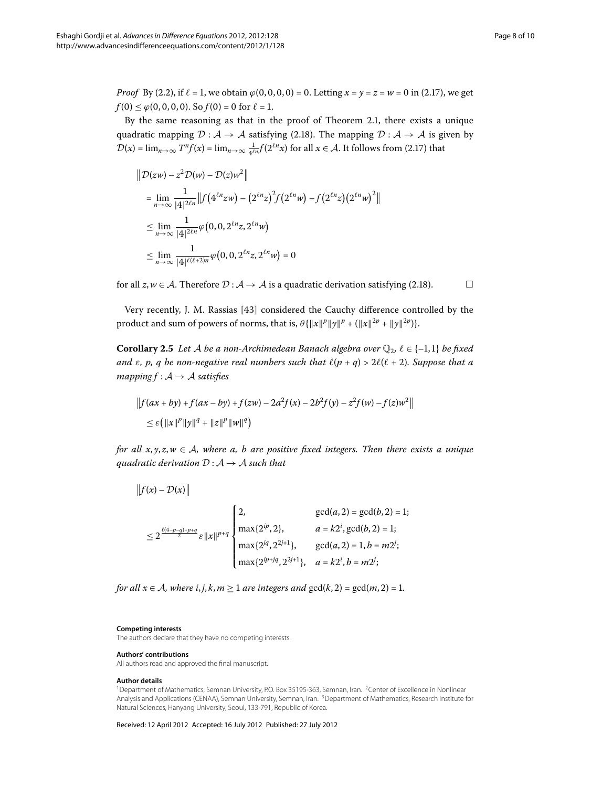*Proof* By (2.2), if  $\ell = 1$ , we obtain  $\varphi(0, 0, 0, 0) = 0$ . Letting  $x = y = z = w = 0$  in (2.17), we get  $f(0) \le \varphi(0, 0, 0, 0)$ . So  $f(0) = 0$  for  $\ell = 1$ .

By the same reasoning as that in the proof of Theorem 2[.](#page-3-9)1, there exists a unique quadratic mapping  $\mathcal{D} : A \to A$  satisfying (2.18). The mapping  $\mathcal{D} : A \to A$  is given by  $\mathcal{D}(x) = \lim_{n \to \infty} T^n f(x) = \lim_{n \to \infty} \frac{1}{4^{\ell n}} f(2^{\ell n} x)$  for all  $x \in \mathcal{A}$ . It follows from (2.17) that

$$
\|D(zw) - z^2 D(w) - D(z)w^2\|
$$
  
\n
$$
= \lim_{n \to \infty} \frac{1}{|4|^{2\ell n}} \|f(4^{\ell n}zw) - (2^{\ell n}z)^2 f(2^{\ell n}w) - f(2^{\ell n}z)(2^{\ell n}w)^2\|
$$
  
\n
$$
\leq \lim_{n \to \infty} \frac{1}{|4|^{2\ell n}} \varphi(0, 0, 2^{\ell n}z, 2^{\ell n}w)
$$
  
\n
$$
\leq \lim_{n \to \infty} \frac{1}{|4|^{(\ell + 2)n}} \varphi(0, 0, 2^{\ell n}z, 2^{\ell n}w) = 0
$$

for all  $z, w \in A$ . Therefore  $D : A \rightarrow A$  is a quadratic derivation satisfying (2.18).

Very recently, J. M. Rassias [43] considered the Cauchy difference controlled by the product and sum of powers of norms, that is,  $\theta \{ ||x||^p ||y||^p + (||x||^{2p} + ||y||^{2p}) \}.$ 

**Corollary 2.5** Let A be a non-Archimedean Banach algebra over  $\mathbb{Q}_2$ ,  $\ell \in \{-1,1\}$  be fixed *and*  $\varepsilon$ ,  $p$ ,  $q$  be non-negative real numbers such that  $\ell(p + q) > 2\ell(\ell + 2)$ . Suppose that a *mapping*  $f : A \rightarrow A$  *satisfies* 

$$
||f(ax + by) + f(ax - by) + f(zw) - 2a^2 f(x) - 2b^2 f(y) - z^2 f(w) - f(z)w^2||
$$
  
 
$$
\leq \varepsilon (||x||^p ||y||^q + ||z||^p ||w||^q)
$$

*for all x*, *y*, *z*,*w* ∈ A*, where a, b are positive fixed integers. Then there exists a unique quadratic derivation*  $D: A \rightarrow A$  *such that* 

$$
||f(x) - \mathcal{D}(x)||
$$
  
\n
$$
\leq 2^{\frac{\ell(4-p-q)+p+q}{2}} \varepsilon ||x||^{p+q}
$$
  
\n
$$
\begin{cases}\n2, & \gcd(a, 2) = \gcd(b, 2) = 1; \\
\max\{2^{ip}, 2\}, & a = k2^i, \gcd(b, 2) = 1; \\
\max\{2^{iq}, 2^{2j+1}\}, & \gcd(a, 2) = 1, b = m2^i; \\
\max\{2^{ip+jq}, 2^{2j+1}\}, & a = k2^i, b = m2^i;\n\end{cases}
$$

<span id="page-7-1"></span><span id="page-7-0"></span>*for all*  $x \in A$ *, where i, j, k, m*  $\geq 1$  *are integers and*  $gcd(k, 2) = gcd(m, 2) = 1$ *.* 

#### <span id="page-7-2"></span>**Competing interests**

**Authors' contributions**

The authors declare that they have no competing interests.

# All authors read and approved the final manuscript.

**Author details**

<sup>1</sup>Department of Mathematics, Semnan University, P.O. Box 35195-363, Semnan, Iran. <sup>2</sup>Center of Excellence in Nonlinear Analysis and Applications (CENAA), Semnan University, Semnan, Iran. 3Department of Mathematics, Research Institute for Natural Sciences, Hanyang University, Seoul, 133-791, Republic of Korea.

Received: 12 April 2012 Accepted: 16 July 2012 Published: 27 July 2012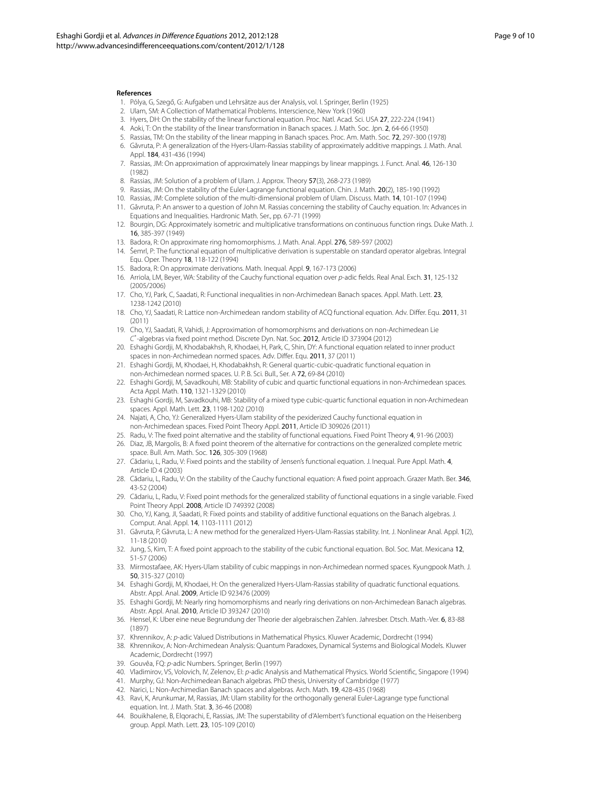#### <span id="page-8-8"></span><span id="page-8-7"></span><span id="page-8-6"></span><span id="page-8-5"></span><span id="page-8-4"></span><span id="page-8-3"></span><span id="page-8-2"></span><span id="page-8-1"></span><span id="page-8-0"></span>**References**

- 1. Pólya, G, Szegő, G: Aufgaben und Lehrsätze aus der Analysis, vol. I. Springer, Berlin (1925)
- 2. Ulam, SM: A Collection of Mathematical Problems. Interscience, New York (1960)
- 3. Hyers, DH: On the stability of the linear functional equation. Proc. Natl. Acad. Sci. USA 27, 222-224 (1941)
- 4. Aoki, T: On the stability of the linear transformation in Banach spaces. J. Math. Soc. Jpn. 2, 64-66 (1950)
- <span id="page-8-9"></span>5. Rassias, TM: On the stability of the linear mapping in Banach spaces. Proc. Am. Math. Soc. 72, 297-300 (1978)
- <span id="page-8-10"></span>6. Găvruta, P: A generalization of the Hyers-Ulam-Rassias stability of approximately additive mappings. J. Math. Anal. Appl. 184, 431-436 (1994)
- <span id="page-8-11"></span>7. Rassias, JM: On approximation of approximately linear mappings by linear mappings. J. Funct. Anal. 46, 126-130 (1982)
- <span id="page-8-12"></span>8. Rassias, JM: Solution of a problem of Ulam. J. Approx. Theory 57(3), 268-273 (1989)
- 9. Rassias, JM: On the stability of the Euler-Lagrange functional equation. Chin. J. Math. 20(2), 185-190 (1992)
- <span id="page-8-14"></span><span id="page-8-13"></span>10. Rassias, JM: Complete solution of the multi-dimensional problem of Ulam. Discuss. Math. 14, 101-107 (1994) 11. Găvruta, P: An answer to a question of John M. Rassias concerning the stability of Cauchy equation. In: Advances in
- Equations and Inequalities. Hardronic Math. Ser., pp. 67-71 (1999) 12. Bourgin, DG: Approximately isometric and multiplicative transformations on continuous function rings. Duke Math. J.
- 16, 385-397 (1949)
- 13. Badora, R: On approximate ring homomorphisms. J. Math. Anal. Appl. 276, 589-597 (2002)
- 14. Šemrl, P: The functional equation of multiplicative derivation is superstable on standard operator algebras. Integral Equ. Oper. Theory 18, 118-122 (1994)
- 15. Badora, R: On approximate derivations. Math. Inequal. Appl. 9, 167-173 (2006)
- 16. Arriola, LM, Beyer, WA: Stability of the Cauchy functional equation over p-adic fields. Real Anal. Exch. 31, 125-132 (2005/2006)
- 17. Cho, YJ, Park, C, Saadati, R: Functional inequalities in non-Archimedean Banach spaces. Appl. Math. Lett. 23, 1238-1242 (2010)
- 18. Cho, YJ, Saadati, R: Lattice non-Archimedean random stability of ACQ functional equation. Adv. Differ. Equ. 2011, 31 (2011)
- <span id="page-8-15"></span>19. Cho, YJ, Saadati, R, Vahidi, J: Approximation of homomorphisms and derivations on non-Archimedean Lie C\* -algebras via fixed point method. Discrete Dyn. Nat. Soc. 2012, Article ID 373904 (2012)
- <span id="page-8-17"></span><span id="page-8-16"></span>20. Eshaghi Gordji, M, Khodabakhsh, R, Khodaei, H, Park, C, Shin, DY: A functional equation related to inner product spaces in non-Archimedean normed spaces. Adv. Differ. Equ. 2011, 37 (2011)
- <span id="page-8-18"></span>21. Eshaghi Gordji, M, Khodaei, H, Khodabakhsh, R: General quartic-cubic-quadratic functional equation in non-Archimedean normed spaces. U. P. B. Sci. Bull., Ser. A 72, 69-84 (2010)
- <span id="page-8-19"></span>22. Eshaghi Gordji, M, Savadkouhi, MB: Stability of cubic and quartic functional equations in non-Archimedean spaces. Acta Appl. Math. 110, 1321-1329 (2010)
- <span id="page-8-20"></span>23. Eshaghi Gordji, M, Savadkouhi, MB: Stability of a mixed type cubic-quartic functional equation in non-Archimedean spaces. Appl. Math. Lett. 23, 1198-1202 (2010)
- 24. Najati, A, Cho, YJ: Generalized Hyers-Ulam stability of the pexiderized Cauchy functional equation in non-Archimedean spaces. Fixed Point Theory Appl. 2011, Article ID 309026 (2011)
- 25. Radu, V: The fixed point alternative and the stability of functional equations. Fixed Point Theory 4, 91-96 (2003)
- 26. Diaz, JB, Margolis, B: A fixed point theorem of the alternative for contractions on the generalized complete metric space. Bull. Am. Math. Soc. 126, 305-309 (1968)
- 27. Cădariu, L, Radu, V: Fixed points and the stability of Jensen's functional equation. J. Inequal. Pure Appl. Math. 4, Article ID 4 (2003)
- <span id="page-8-21"></span>28. Cădariu, L, Radu, V: On the stability of the Cauchy functional equation: A fixed point approach. Grazer Math. Ber. 346, 43-52 (2004)
- <span id="page-8-22"></span>29. Cădariu, L, Radu, V: Fixed point methods for the generalized stability of functional equations in a single variable. Fixed Point Theory Appl. 2008, Article ID 749392 (2008)
- <span id="page-8-23"></span>30. Cho, YJ, Kang, JI, Saadati, R: Fixed points and stability of additive functional equations on the Banach algebras. J. Comput. Anal. Appl. 14, 1103-1111 (2012)
- <span id="page-8-24"></span>31. Găvruta, P, Găvruta, L: A new method for the generalized Hyers-Ulam-Rassias stability. Int. J. Nonlinear Anal. Appl. 1(2), 11-18 (2010)
- <span id="page-8-26"></span><span id="page-8-25"></span>32. Jung, S, Kim, T: A fixed point approach to the stability of the cubic functional equation. Bol. Soc. Mat. Mexicana 12, 51-57 (2006)
- <span id="page-8-27"></span>33. Mirmostafaee, AK: Hyers-Ulam stability of cubic mappings in non-Archimedean normed spaces. Kyungpook Math. J. 50, 315-327 (2010)
- <span id="page-8-29"></span><span id="page-8-28"></span>34. Eshaghi Gordji, M, Khodaei, H: On the generalized Hyers-Ulam-Rassias stability of quadratic functional equations. Abstr. Appl. Anal. 2009, Article ID 923476 (2009)
- <span id="page-8-31"></span><span id="page-8-30"></span>35. Eshaghi Gordji, M: Nearly ring homomorphisms and nearly ring derivations on non-Archimedean Banach algebras. Abstr. Appl. Anal. 2010, Article ID 393247 (2010)
- 36. Hensel, K: Uber eine neue Begrundung der Theorie der algebraischen Zahlen. Jahresber. Dtsch. Math.-Ver. 6, 83-88 (1897)
- 37. Khrennikov, A: p-adic Valued Distributions in Mathematical Physics. Kluwer Academic, Dordrecht (1994)
- 38. Khrennikov, A: Non-Archimedean Analysis: Quantum Paradoxes, Dynamical Systems and Biological Models. Kluwer Academic, Dordrecht (1997)
- 39. Gouvêa, FQ: p-adic Numbers. Springer, Berlin (1997)
- 40. Vladimirov, VS, Volovich, IV, Zelenov, EI: p-adic Analysis and Mathematical Physics. World Scientific, Singapore (1994)
- 41. Murphy, GJ: Non-Archimedean Banach algebras. PhD thesis, University of Cambridge (1977)
- 42. Narici, L: Non-Archimedian Banach spaces and algebras. Arch. Math. 19, 428-435 (1968)
- 43. Ravi, K, Arunkumar, M, Rassias, JM: Ulam stability for the orthogonally general Euler-Lagrange type functional equation. Int. J. Math. Stat. 3, 36-46 (2008)
- 44. Bouikhalene, B, Elqorachi, E, Rassias, JM: The superstability of d'Alembert's functional equation on the Heisenberg group. Appl. Math. Lett. 23, 105-109 (2010)